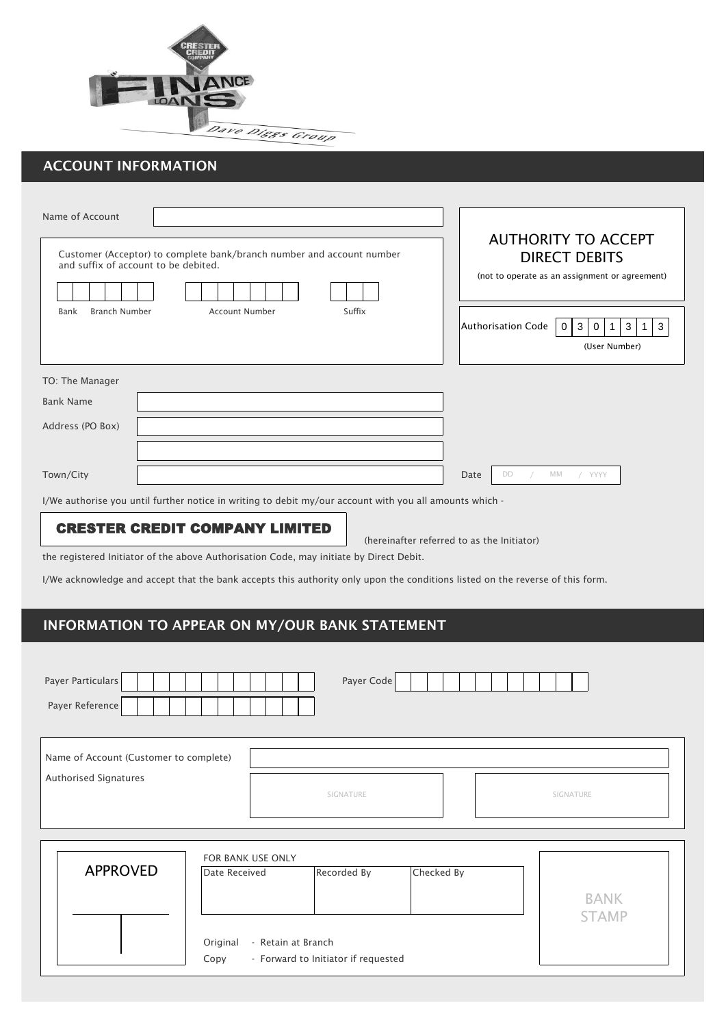

# ACCOUNT INFORMATION

| Name of Account                                                                                                                                                                |                                                                                                                                                  |                                                                                                                                                                                             |  |  |
|--------------------------------------------------------------------------------------------------------------------------------------------------------------------------------|--------------------------------------------------------------------------------------------------------------------------------------------------|---------------------------------------------------------------------------------------------------------------------------------------------------------------------------------------------|--|--|
| <b>Branch Number</b><br>Bank                                                                                                                                                   | Customer (Acceptor) to complete bank/branch number and account number<br>and suffix of account to be debited.<br>Suffix<br><b>Account Number</b> | <b>AUTHORITY TO ACCEPT</b><br><b>DIRECT DEBITS</b><br>(not to operate as an assignment or agreement)<br>Authorisation Code<br>3<br>3<br>$\overline{0}$<br>3<br>0<br>1<br>1<br>(User Number) |  |  |
| TO: The Manager                                                                                                                                                                |                                                                                                                                                  |                                                                                                                                                                                             |  |  |
| <b>Bank Name</b>                                                                                                                                                               |                                                                                                                                                  |                                                                                                                                                                                             |  |  |
| Address (PO Box)                                                                                                                                                               |                                                                                                                                                  |                                                                                                                                                                                             |  |  |
|                                                                                                                                                                                |                                                                                                                                                  |                                                                                                                                                                                             |  |  |
| Town/City                                                                                                                                                                      |                                                                                                                                                  | МM<br>/ YYYY<br>Date<br>DD                                                                                                                                                                  |  |  |
| I/We authorise you until further notice in writing to debit my/our account with you all amounts which -                                                                        |                                                                                                                                                  |                                                                                                                                                                                             |  |  |
| <b>CRESTER CREDIT COMPANY LIMITED</b><br>(hereinafter referred to as the Initiator)<br>the registered Initiator of the above Authorisation Code, may initiate by Direct Debit. |                                                                                                                                                  |                                                                                                                                                                                             |  |  |
| I/We acknowledge and accept that the bank accepts this authority only upon the conditions listed on the reverse of this form.                                                  |                                                                                                                                                  |                                                                                                                                                                                             |  |  |
|                                                                                                                                                                                |                                                                                                                                                  |                                                                                                                                                                                             |  |  |
| INFORMATION TO APPEAR ON MY/OUR BANK STATEMENT                                                                                                                                 |                                                                                                                                                  |                                                                                                                                                                                             |  |  |
|                                                                                                                                                                                |                                                                                                                                                  |                                                                                                                                                                                             |  |  |

| Payer Code<br>Payer Particulars<br>Payer Reference              |                                                                                                             |                             |  |  |
|-----------------------------------------------------------------|-------------------------------------------------------------------------------------------------------------|-----------------------------|--|--|
| Name of Account (Customer to complete)<br>Authorised Signatures | SIGNATURE                                                                                                   | SIGNATURE                   |  |  |
| <b>APPROVED</b><br>Date Received<br>Original<br>Copy            | FOR BANK USE ONLY<br>Recorded By<br>Checked By<br>- Retain at Branch<br>- Forward to Initiator if requested | <b>BANK</b><br><b>STAMP</b> |  |  |